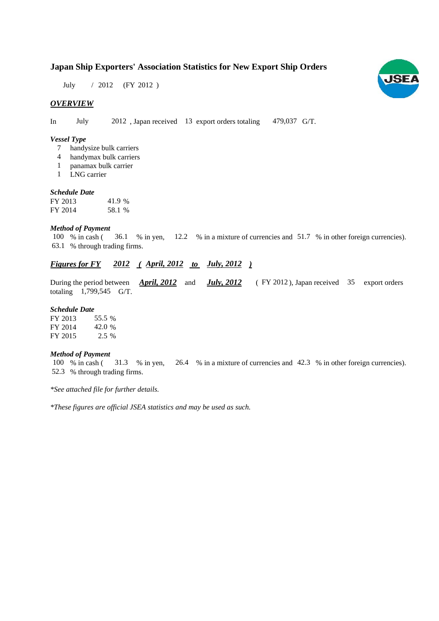# **Japan Ship Exporters' Association Statistics for New Export Ship Orders**

July / 2012 (FY 2012)

### *OVERVIEW*

In July 2012, Japan received 13 export orders totaling 479,037 G/T.

#### *Vessel Type*

- handysize bulk carriers 7
- handymax bulk carriers 4
- panamax bulk carrier 1
- LNG carrier 1

#### *Schedule Date*

| FY 2013 | 41.9 % |
|---------|--------|
| FY 2014 | 58.1 % |

#### *Method of Payment*

% in cash ( $\frac{36.1}{8}$  m yen,  $\frac{12.2}{8}$  m a mixture of currencies and  $\frac{51.7}{8}$  m other foreign currencies). % through trading firms. 63.1 100 % in cash (

# *Figures for FY* 2012 (April, 2012 *to July, 2012*)

During the period between *April, 2012* and *July, 2012* (FY 2012), Japan received 35 export orders totaling  $1,799,545$  G/T. *April, 2012* and

#### *Schedule Date*

FY 2013 FY 2014 FY 2015 55.5 42.0 % 2.5 %

#### *Method of Payment*

% in cash ( $\frac{31.3}{8}$  % in yen,  $\frac{26.4}{8}$  % in a mixture of currencies and 42.3 % in other foreign currencies). 52.3 % through trading firms. 100 % in cash (31.3 % in yen,

*\*See attached file for further details.*

*\*These figures are official JSEA statistics and may be used as such.*

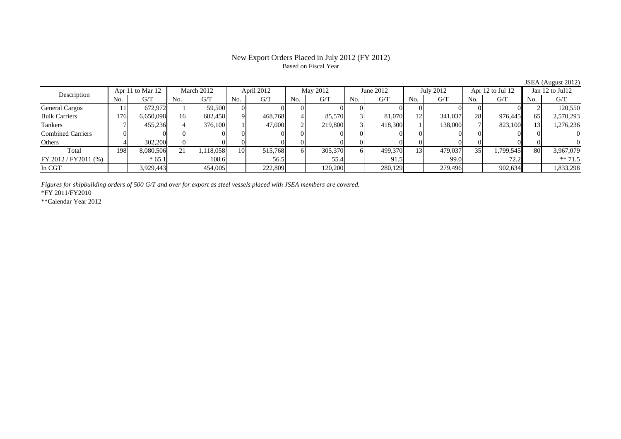## New Export Orders Placed in July 2012 (FY 2012) Based on Fiscal Year

| Description           |     | Apr 11 to Mar 12 |           | March 2012 |     | April 2012 |     | May 2012 |     | June 2012 |     | July 2012 |     | Apr 12 to Jul 12 |     | Jan 12 to Jul12 |  |
|-----------------------|-----|------------------|-----------|------------|-----|------------|-----|----------|-----|-----------|-----|-----------|-----|------------------|-----|-----------------|--|
|                       | No. | G/T              | No.       | G/T        | No. | G/T        | No. | G/T      | No. | G/T       | No. | G/T       | No. | G/T              | No. | G/T             |  |
| <b>General Cargos</b> |     | 672.972          |           | 59,500     |     |            |     |          |     |           |     |           |     |                  |     | 120,550         |  |
| <b>Bulk Carriers</b>  | 176 | 6,650,098        | 16        | 682,458    |     | 468.768    |     | 85,570   |     | 81,070    | 12  | 341,037   | 28  | 976.445          | 65  | 2,570,293       |  |
| Tankers               |     | 455.236II        |           | 376,100    |     | 47,000     |     | 219,800  |     | 418,300   |     | 138,000   |     | 823,100          |     | 1,276,236       |  |
| Combined Carriers     |     |                  |           |            |     |            |     |          |     |           |     |           |     |                  |     |                 |  |
| <b>Others</b>         |     | 302,200          |           |            |     |            |     |          |     |           |     |           |     |                  |     |                 |  |
| Total                 | 198 | 8,080,506        | $\bigcap$ | ,118,058   | 10  | 515,768    |     | 305,370  |     | 499,370   | 13  | 479,037   | 35  | 1,799,545        | 80  | 3,967,079       |  |
| FY 2012 / FY 2011 (%) |     | $* 65.1$         |           | 108.6      |     | 56.5       |     | 55.4     |     | 91.5      |     | 99.0      |     | 72.2             |     | $** 71.5$       |  |
| In CGT                |     | 3,929,443        |           | 454,005    |     | 222,809    |     | 120,200  |     | 280,129   |     | 279,496   |     | 902,634          |     | 1,833,298       |  |

*Figures for shipbuilding orders of 500 G/T and over for export as steel vessels placed with JSEA members are covered.*

\*FY 2011/FY2010

\*\*Calendar Year 2012

JSEA (August 2012)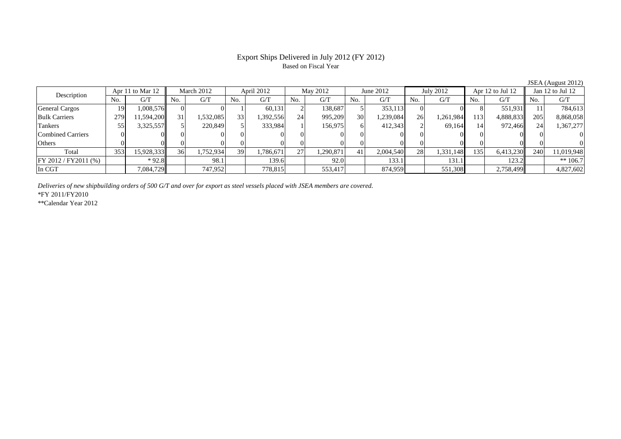## Export Ships Delivered in July 2012 (FY 2012) Based on Fiscal Year

|                                 |     |            |     |            |     |           |     |           |     |           |           |                  |     |                      |            | 1.148      |
|---------------------------------|-----|------------|-----|------------|-----|-----------|-----|-----------|-----|-----------|-----------|------------------|-----|----------------------|------------|------------|
| Apr 11 to Mar 12<br>Description |     | March 2012 |     | April 2012 |     | May 2012  |     | June 2012 |     | July 2012 |           | Apr 12 to Jul 12 |     | Jan $12$ to Jul $12$ |            |            |
|                                 | No. | G/T        | No. | G/T        | No. | G/T       | No. | G/T       | No. | G/T       | No.       | G/T              | No. | G/T                  | No.        | G/T        |
| <b>General Cargos</b>           | 19  | 1,008,576  |     |            |     | 60,131    |     | 138.687   |     | 353,113   |           |                  |     | 551,931              |            | 784.613    |
| <b>Bulk Carriers</b>            | 279 | 11,594,200 | 31  | .532,085   | 33  | 1,392,556 | 24  | 995,209   | 30  | 1,239,084 | 26        | 1,261,984        | 113 | 4,888,833            | 205        | 8,868,058  |
| <b>Tankers</b>                  | 55  | 3,325,557  |     | 220,849    |     | 333,984   |     | 156,975   |     | 412,343   |           | 69.164           |     | 972.466              | 24         | 1,367,277  |
| <b>Combined Carriers</b>        |     |            |     |            |     |           |     |           |     |           |           |                  |     |                      |            |            |
| Others                          |     |            |     |            |     |           |     | ΩL        |     |           |           |                  |     |                      |            |            |
| Total                           | 353 | 15,928,333 | 36  | .752,9341  | 39  | .786,671  | 27  | .290,871  |     | 2,004,540 | <b>28</b> | 1,331,148        | 135 | 6,413,230            | <b>240</b> | 11,019,948 |
| FY 2012 / FY 2011 (%)           |     | $*92.8$    |     | 98.1       |     | 139.6     |     | 92.0      |     | 133.1     |           | 131.1            |     | 123.2                |            | $** 106.7$ |
| In CGT                          |     | 7,084,729  |     | 747,952    |     | 778,815   |     | 553,417   |     | 874,959   |           | 551,308          |     | 2,758,499            |            | 4,827,602  |

*Deliveries of new shipbuilding orders of 500 G/T and over for export as steel vessels placed with JSEA members are covered.*

\*FY 2011/FY2010

\*\*Calendar Year 2012

JSEA (August 2012)